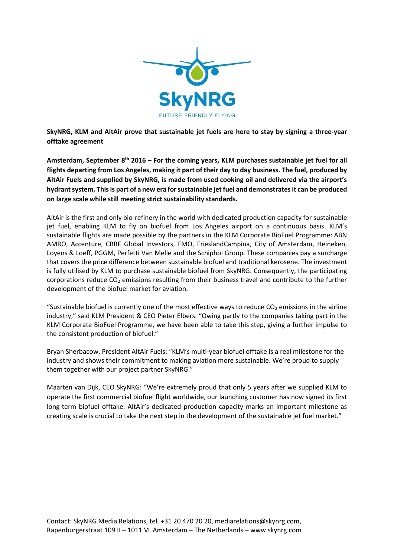

**SkyNRG, KLM and AltAir prove that sustainable jet fuels are here to stay by signing a three-year offtake agreement** 

**Amsterdam, September 8th 2016 – For the coming years, KLM purchases sustainable jet fuel for all flights departing from Los Angeles, making it part of their day to day business. The fuel, produced by AltAir Fuels and supplied by SkyNRG, is made from used cooking oil and delivered via the airport's hydrant system. This is part of a new era for sustainable jet fuel and demonstrates it can be produced on large scale while still meeting strict sustainability standards.**

AltAir is the first and only bio-refinery in the world with dedicated production capacity for sustainable jet fuel, enabling KLM to fly on biofuel from Los Angeles airport on a continuous basis. KLM's sustainable flights are made possible by the partners in the KLM Corporate BioFuel Programme: ABN AMRO, Accenture, CBRE Global Investors, FMO, FrieslandCampina, City of Amsterdam, Heineken, Loyens & Loeff, PGGM, Perfetti Van Melle and the Schiphol Group. These companies pay a surcharge that covers the price difference between sustainable biofuel and traditional kerosene. The investment is fully utilised by KLM to purchase sustainable biofuel from SkyNRG. Consequently, the participating corporations reduce  $CO<sub>2</sub>$  emissions resulting from their business travel and contribute to the further development of the biofuel market for aviation.

"Sustainable biofuel is currently one of the most effective ways to reduce  $CO<sub>2</sub>$  emissions in the airline industry," said KLM President & CEO Pieter Elbers. "Owing partly to the companies taking part in the KLM Corporate BioFuel Programme, we have been able to take this step, giving a further impulse to the consistent production of biofuel."

Bryan Sherbacow, President AltAir Fuels: "KLM's multi-year biofuel offtake is a real milestone for the industry and shows their commitment to making aviation more sustainable. We're proud to supply them together with our project partner SkyNRG."

Maarten van Dijk, CEO SkyNRG: "We're extremely proud that only 5 years after we supplied KLM to operate the first commercial biofuel flight worldwide, our launching customer has now signed its first long-term biofuel offtake. AltAir's dedicated production capacity marks an important milestone as creating scale is crucial to take the next step in the development of the sustainable jet fuel market."